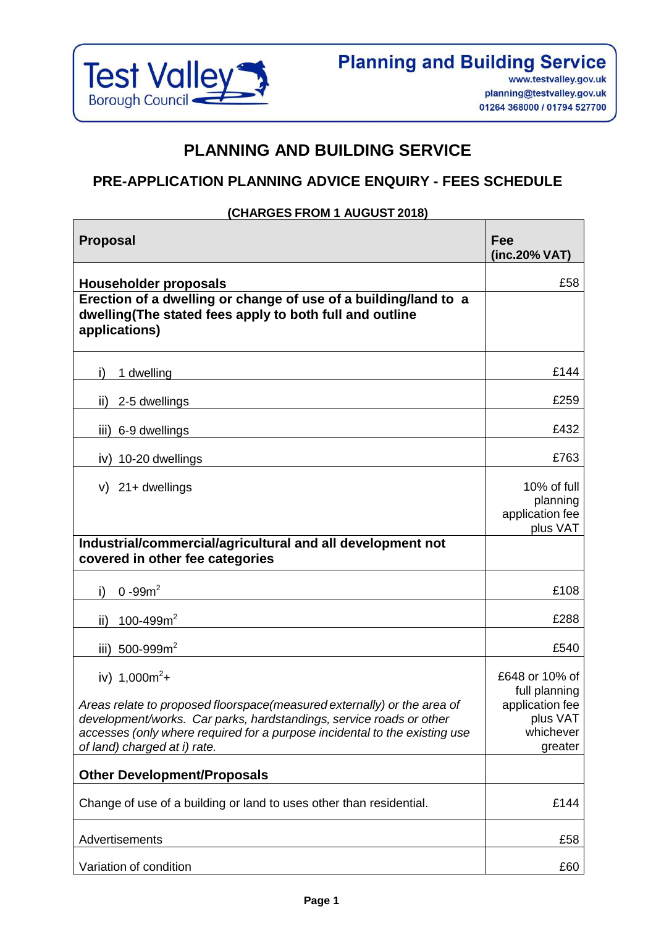

# **PLANNING AND BUILDING SERVICE**

## **PRE-APPLICATION PLANNING ADVICE ENQUIRY - FEES SCHEDULE**

#### **(CHARGES FROM 1 AUGUST 2018)**

| <b>Proposal</b>                                                                                                                                                                                                                                                                  | Fee<br>(inc.20% VAT)                                                                   |
|----------------------------------------------------------------------------------------------------------------------------------------------------------------------------------------------------------------------------------------------------------------------------------|----------------------------------------------------------------------------------------|
| <b>Householder proposals</b>                                                                                                                                                                                                                                                     | £58                                                                                    |
| Erection of a dwelling or change of use of a building/land to a<br>dwelling(The stated fees apply to both full and outline<br>applications)                                                                                                                                      |                                                                                        |
| i)<br>1 dwelling                                                                                                                                                                                                                                                                 | £144                                                                                   |
| ii)<br>2-5 dwellings                                                                                                                                                                                                                                                             | £259                                                                                   |
| iii) 6-9 dwellings                                                                                                                                                                                                                                                               | £432                                                                                   |
| 10-20 dwellings<br>iv)                                                                                                                                                                                                                                                           | £763                                                                                   |
| $v)$ 21+ dwellings                                                                                                                                                                                                                                                               | 10% of full<br>planning<br>application fee<br>plus VAT                                 |
| Industrial/commercial/agricultural and all development not<br>covered in other fee categories                                                                                                                                                                                    |                                                                                        |
| $0 - 99m^2$<br>i)                                                                                                                                                                                                                                                                | £108                                                                                   |
| 100-499 $m2$<br>ii)                                                                                                                                                                                                                                                              | £288                                                                                   |
| 500-999 $m2$<br>iii)                                                                                                                                                                                                                                                             | £540                                                                                   |
| iv) $1,000m^2 +$<br>Areas relate to proposed floorspace(measured externally) or the area of<br>development/works. Car parks, hardstandings, service roads or other<br>accesses (only where required for a purpose incidental to the existing use<br>of land) charged at i) rate. | £648 or 10% of<br>full planning<br>application fee<br>plus VAT<br>whichever<br>greater |
| <b>Other Development/Proposals</b>                                                                                                                                                                                                                                               |                                                                                        |
| Change of use of a building or land to uses other than residential.                                                                                                                                                                                                              | £144                                                                                   |
| Advertisements                                                                                                                                                                                                                                                                   | £58                                                                                    |
| Variation of condition                                                                                                                                                                                                                                                           | £60                                                                                    |